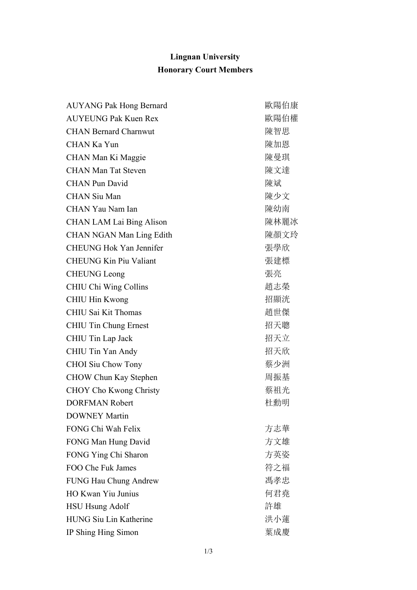## **Lingnan University Honorary Court Members**

| <b>AUYANG Pak Hong Bernard</b>  | 歐陽伯康 |
|---------------------------------|------|
| <b>AUYEUNG Pak Kuen Rex</b>     | 歐陽伯權 |
| <b>CHAN Bernard Charnwut</b>    | 陳智思  |
| CHAN Ka Yun                     | 陳加恩  |
| CHAN Man Ki Maggie              | 陳曼琪  |
| <b>CHAN Man Tat Steven</b>      | 陳文達  |
| <b>CHAN Pun David</b>           | 陳斌   |
| <b>CHAN Siu Man</b>             | 陳少文  |
| CHAN Yau Nam Ian                | 陳幼南  |
| <b>CHAN LAM Lai Bing Alison</b> | 陳林麗冰 |
| <b>CHAN NGAN Man Ling Edith</b> | 陳顏文玲 |
| <b>CHEUNG Hok Yan Jennifer</b>  | 張學欣  |
| <b>CHEUNG Kin Piu Valiant</b>   | 張建標  |
| <b>CHEUNG Leong</b>             | 張亮   |
| CHIU Chi Wing Collins           | 趙志榮  |
| CHIU Hin Kwong                  | 招顯洸  |
| CHIU Sai Kit Thomas             | 趙世傑  |
| <b>CHIU Tin Chung Ernest</b>    | 招天聰  |
| CHIU Tin Lap Jack               | 招天立  |
| CHIU Tin Yan Andy               | 招天欣  |
| <b>CHOI</b> Siu Chow Tony       | 蔡少洲  |
| CHOW Chun Kay Stephen           | 周振基  |
| <b>CHOY Cho Kwong Christy</b>   | 蔡祖光  |
| <b>DORFMAN Robert</b>           | 杜勳明  |
| <b>DOWNEY Martin</b>            |      |
| FONG Chi Wah Felix              | 方志華  |
| FONG Man Hung David             | 方文雄  |
| FONG Ying Chi Sharon            | 方英姿  |
| FOO Che Fuk James               | 符之福  |
| <b>FUNG Hau Chung Andrew</b>    | 馮孝忠  |
| HO Kwan Yiu Junius              | 何君堯  |
| <b>HSU Hsung Adolf</b>          | 許雄   |
| <b>HUNG Siu Lin Katherine</b>   | 洪小蓮  |
| IP Shing Hing Simon             | 葉成慶  |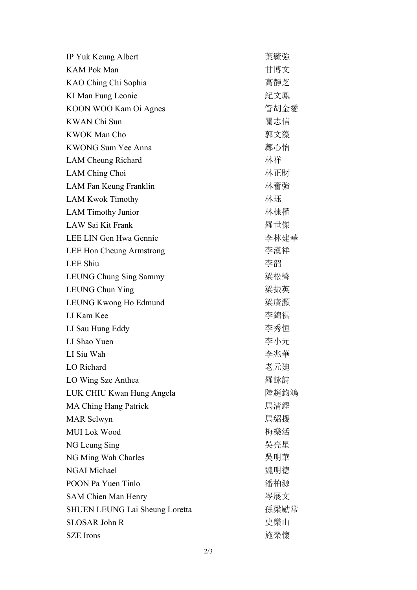| IP Yuk Keung Albert                   | 葉毓強  |
|---------------------------------------|------|
| <b>KAM Pok Man</b>                    | 甘博文  |
| KAO Ching Chi Sophia                  | 高靜芝  |
| KI Man Fung Leonie                    | 紀文鳳  |
| KOON WOO Kam Oi Agnes                 | 管胡金愛 |
| <b>KWAN</b> Chi Sun                   | 關志信  |
| <b>KWOK Man Cho</b>                   | 郭文藻  |
| <b>KWONG Sum Yee Anna</b>             | 鄺心怡  |
| LAM Cheung Richard                    | 林祥   |
| LAM Ching Choi                        | 林正財  |
| LAM Fan Keung Franklin                | 林奮強  |
| <b>LAM Kwok Timothy</b>               | 林珏   |
| <b>LAM Timothy Junior</b>             | 林棣權  |
| LAW Sai Kit Frank                     | 羅世傑  |
| LEE LIN Gen Hwa Gennie                | 李林建華 |
| LEE Hon Cheung Armstrong              | 李漢祥  |
| <b>LEE Shiu</b>                       | 李韶   |
| LEUNG Chung Sing Sammy                | 梁松聲  |
| <b>LEUNG Chun Ying</b>                | 梁振英  |
| LEUNG Kwong Ho Edmund                 | 梁廣灝  |
| LI Kam Kee                            | 李錦祺  |
| LI Sau Hung Eddy                      | 李秀恒  |
| LI Shao Yuen                          | 李小元  |
| LI Siu Wah                            | 李兆華  |
| LO Richard                            | 老元廸  |
| LO Wing Sze Anthea                    | 羅詠詩  |
| LUK CHIU Kwan Hung Angela             | 陸趙鈞鴻 |
| <b>MA Ching Hang Patrick</b>          | 馬清鏗  |
| <b>MAR</b> Selwyn                     | 馬紹援  |
| <b>MUI</b> Lok Wood                   | 梅樂活  |
| NG Leung Sing                         | 吳亮星  |
| NG Ming Wah Charles                   | 吳明華  |
| <b>NGAI Michael</b>                   | 魏明德  |
| POON Pa Yuen Tinlo                    | 潘柏源  |
| <b>SAM Chien Man Henry</b>            | 岑展文  |
| <b>SHUEN LEUNG Lai Sheung Loretta</b> | 孫梁勵常 |
| <b>SLOSAR John R</b>                  | 史樂山  |
| <b>SZE</b> Irons                      | 施榮懷  |